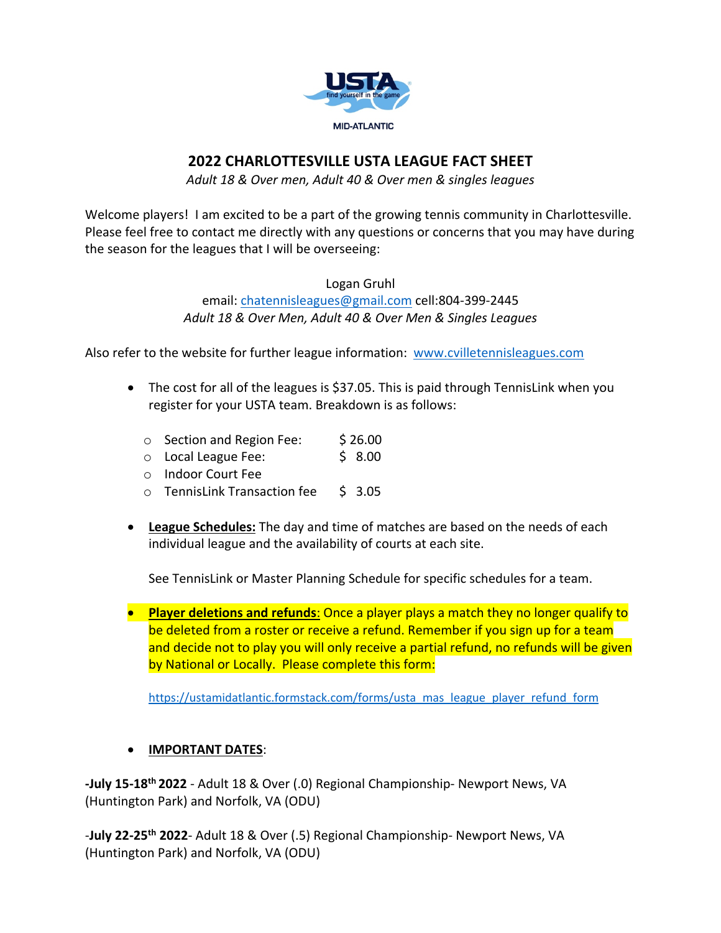

## **2022 CHARLOTTESVILLE USTA LEAGUE FACT SHEET**

*Adult 18 & Over men, Adult 40 & Over men & singles leagues*

Welcome players! I am excited to be a part of the growing tennis community in Charlottesville. Please feel free to contact me directly with any questions or concerns that you may have during the season for the leagues that I will be overseeing:

Logan Gruhl

email: chatennisleagues@gmail.com cell:804-399-2445 *Adult 18 & Over Men, Adult 40 & Over Men & Singles Leagues*

Also refer to the website for further league information: www.cvilletennisleagues.com

- The cost for all of the leagues is \$37.05. This is paid through TennisLink when you register for your USTA team. Breakdown is as follows:
	- o Section and Region Fee: \$26.00
	- o Local League Fee: \$ 8.00
	- o Indoor Court Fee
	- o TennisLink Transaction fee \$ 3.05
- **League Schedules:** The day and time of matches are based on the needs of each individual league and the availability of courts at each site.

See TennisLink or Master Planning Schedule for specific schedules for a team.

• **Player deletions and refunds**: Once a player plays a match they no longer qualify to be deleted from a roster or receive a refund. Remember if you sign up for a team and decide not to play you will only receive a partial refund, no refunds will be given by National or Locally. Please complete this form:

https://ustamidatlantic.formstack.com/forms/usta\_mas\_league\_player\_refund\_form

## • **IMPORTANT DATES**:

**-July 15-18th 2022** - Adult 18 & Over (.0) Regional Championship- Newport News, VA (Huntington Park) and Norfolk, VA (ODU)

-**July 22-25th 2022**- Adult 18 & Over (.5) Regional Championship- Newport News, VA (Huntington Park) and Norfolk, VA (ODU)